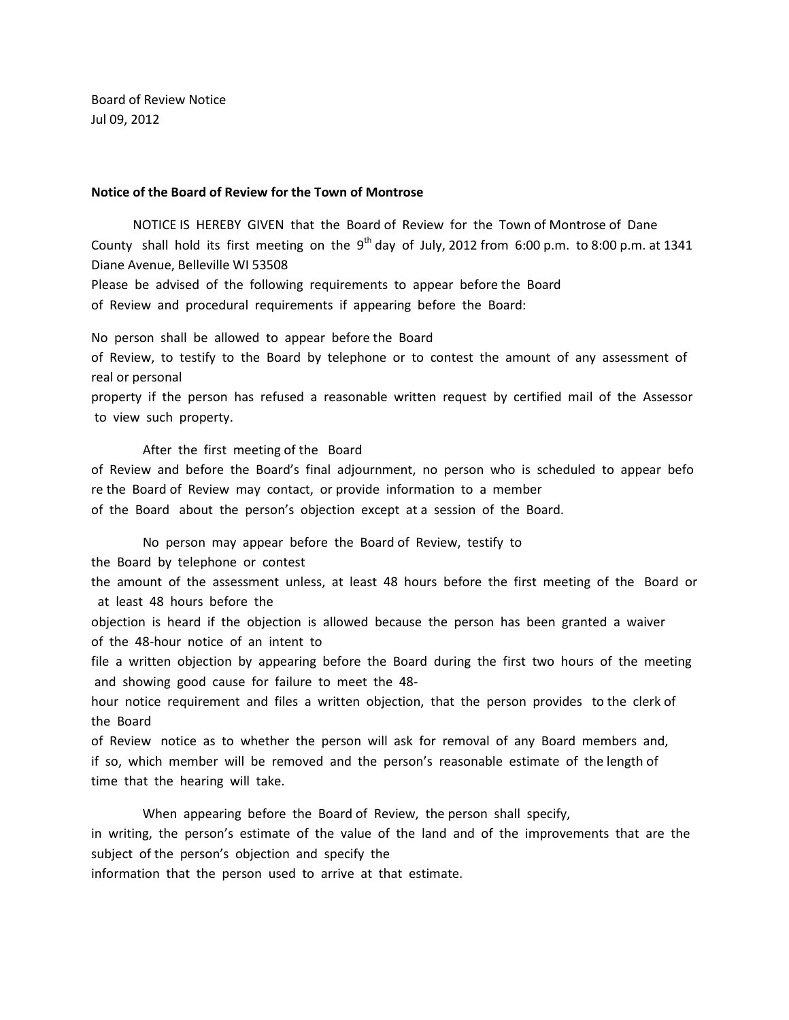Board of Review Notice Jul 09, 2012

## **Notice of the Board of Review for the Town of Montrose**

 NOTICE IS HEREBY GIVEN that the Board of Review for the Town of Montrose of Dane County shall hold its first meeting on the  $9^{th}$  day of July, 2012 from 6:00 p.m. to 8:00 p.m. at 1341 Diane Avenue, Belleville WI 53508

Please be advised of the following requirements to appear before the Board of Review and procedural requirements if appearing before the Board:

No person shall be allowed to appear before the Board

of Review, to testify to the Board by telephone or to contest the amount of any assessment of real or personal

property if the person has refused a reasonable written request by certified mail of the Assessor to view such property.

After the first meeting of the Board

of Review and before the Board's final adjournment, no person who is scheduled to appear befo re the Board of Review may contact, or provide information to a member of the Board about the person's objection except at a session of the Board.

No person may appear before the Board of Review, testify to

the Board by telephone or contest

the amount of the assessment unless, at least 48 hours before the first meeting of the Board or at least 48 hours before the

objection is heard if the objection is allowed because the person has been granted a waiver of the 48-hour notice of an intent to

file a written objection by appearing before the Board during the first two hours of the meeting and showing good cause for failure to meet the 48-

hour notice requirement and files a written objection, that the person provides to the clerk of the Board

of Review notice as to whether the person will ask for removal of any Board members and, if so, which member will be removed and the person's reasonable estimate of the length of time that the hearing will take.

When appearing before the Board of Review, the person shall specify,

in writing, the person's estimate of the value of the land and of the improvements that are the subject of the person's objection and specify the

information that the person used to arrive at that estimate.